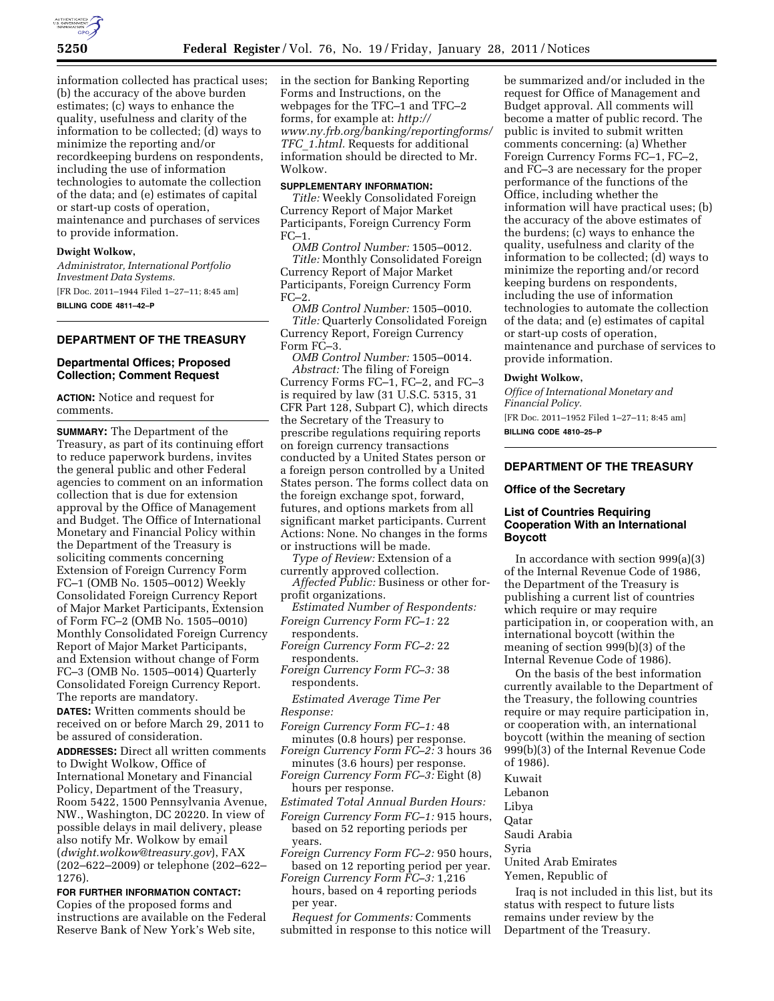

information collected has practical uses; (b) the accuracy of the above burden estimates; (c) ways to enhance the quality, usefulness and clarity of the information to be collected; (d) ways to minimize the reporting and/or recordkeeping burdens on respondents, including the use of information technologies to automate the collection of the data; and (e) estimates of capital or start-up costs of operation, maintenance and purchases of services to provide information.

#### **Dwight Wolkow,**

*Administrator, International Portfolio Investment Data Systems.*  [FR Doc. 2011–1944 Filed 1–27–11; 8:45 am] **BILLING CODE 4811–42–P** 

# **DEPARTMENT OF THE TREASURY**

### **Departmental Offices; Proposed Collection; Comment Request**

**ACTION:** Notice and request for comments.

**SUMMARY:** The Department of the Treasury, as part of its continuing effort to reduce paperwork burdens, invites the general public and other Federal agencies to comment on an information collection that is due for extension approval by the Office of Management and Budget. The Office of International Monetary and Financial Policy within the Department of the Treasury is soliciting comments concerning Extension of Foreign Currency Form FC–1 (OMB No. 1505–0012) Weekly Consolidated Foreign Currency Report of Major Market Participants, Extension of Form FC–2 (OMB No. 1505–0010) Monthly Consolidated Foreign Currency Report of Major Market Participants, and Extension without change of Form FC–3 (OMB No. 1505–0014) Quarterly Consolidated Foreign Currency Report. The reports are mandatory.

**DATES:** Written comments should be received on or before March 29, 2011 to be assured of consideration.

**ADDRESSES:** Direct all written comments to Dwight Wolkow, Office of International Monetary and Financial Policy, Department of the Treasury, Room 5422, 1500 Pennsylvania Avenue, NW., Washington, DC 20220. In view of possible delays in mail delivery, please also notify Mr. Wolkow by email (*[dwight.wolkow@treasury.gov](mailto:dwight.wolkow@treasury.gov)*), FAX (202–622–2009) or telephone (202–622– 1276).

### **FOR FURTHER INFORMATION CONTACT:**

Copies of the proposed forms and instructions are available on the Federal Reserve Bank of New York's Web site,

in the section for Banking Reporting Forms and Instructions, on the webpages for the TFC–1 and TFC–2 forms, for example at: *[http://](http://www.ny.frb.org/banking/reportingforms/TFC_1.html)  [www.ny.frb.org/banking/reportingforms/](http://www.ny.frb.org/banking/reportingforms/TFC_1.html)  TFC*\_*[1.html.](http://www.ny.frb.org/banking/reportingforms/TFC_1.html)* Requests for additional information should be directed to Mr. Wolkow.

#### **SUPPLEMENTARY INFORMATION:**

*Title:* Weekly Consolidated Foreign Currency Report of Major Market Participants, Foreign Currency Form FC–1.

*OMB Control Number:* 1505–0012. *Title:* Monthly Consolidated Foreign Currency Report of Major Market Participants, Foreign Currency Form  $FC-2$ 

*OMB Control Number:* 1505–0010. *Title:* Quarterly Consolidated Foreign Currency Report, Foreign Currency Form FC–3.

*OMB Control Number:* 1505–0014. *Abstract:* The filing of Foreign Currency Forms FC–1, FC–2, and FC–3 is required by law (31 U.S.C. 5315, 31 CFR Part 128, Subpart C), which directs the Secretary of the Treasury to prescribe regulations requiring reports on foreign currency transactions conducted by a United States person or a foreign person controlled by a United States person. The forms collect data on the foreign exchange spot, forward, futures, and options markets from all significant market participants. Current Actions: None. No changes in the forms or instructions will be made.

*Type of Review:* Extension of a currently approved collection.

*Affected Public:* Business or other forprofit organizations.

*Estimated Number of Respondents: Foreign Currency Form FC–1:* 22

respondents.

*Foreign Currency Form FC–2:* 22 respondents.

*Foreign Currency Form FC–3:* 38 respondents.

*Estimated Average Time Per Response:* 

- *Foreign Currency Form FC–1:* 48
- minutes (0.8 hours) per response. *Foreign Currency Form FC–2:* 3 hours 36 minutes (3.6 hours) per response.
- *Foreign Currency Form FC–3:* Eight (8)
- hours per response.
- *Estimated Total Annual Burden Hours:*
- *Foreign Currency Form FC–1:* 915 hours, based on 52 reporting periods per years.
- *Foreign Currency Form FC–2:* 950 hours, based on 12 reporting period per year.
- *Foreign Currency Form FC–3:* 1,216 hours, based on 4 reporting periods per year.

*Request for Comments:* Comments submitted in response to this notice will be summarized and/or included in the request for Office of Management and Budget approval. All comments will become a matter of public record. The public is invited to submit written comments concerning: (a) Whether Foreign Currency Forms FC–1, FC–2, and FC–3 are necessary for the proper performance of the functions of the Office, including whether the information will have practical uses; (b) the accuracy of the above estimates of the burdens; (c) ways to enhance the quality, usefulness and clarity of the information to be collected; (d) ways to minimize the reporting and/or record keeping burdens on respondents, including the use of information technologies to automate the collection of the data; and (e) estimates of capital or start-up costs of operation, maintenance and purchase of services to provide information.

#### **Dwight Wolkow,**

*Office of International Monetary and Financial Policy.* 

[FR Doc. 2011–1952 Filed 1–27–11; 8:45 am] **BILLING CODE 4810–25–P** 

# **DEPARTMENT OF THE TREASURY**

#### **Office of the Secretary**

## **List of Countries Requiring Cooperation With an International Boycott**

In accordance with section 999(a)(3) of the Internal Revenue Code of 1986, the Department of the Treasury is publishing a current list of countries which require or may require participation in, or cooperation with, an international boycott (within the meaning of section 999(b)(3) of the Internal Revenue Code of 1986).

On the basis of the best information currently available to the Department of the Treasury, the following countries require or may require participation in, or cooperation with, an international boycott (within the meaning of section 999(b)(3) of the Internal Revenue Code of 1986).

Kuwait

Lebanon

Libya

Qatar

Saudi Arabia

Syria

United Arab Emirates Yemen, Republic of

Iraq is not included in this list, but its status with respect to future lists remains under review by the Department of the Treasury.